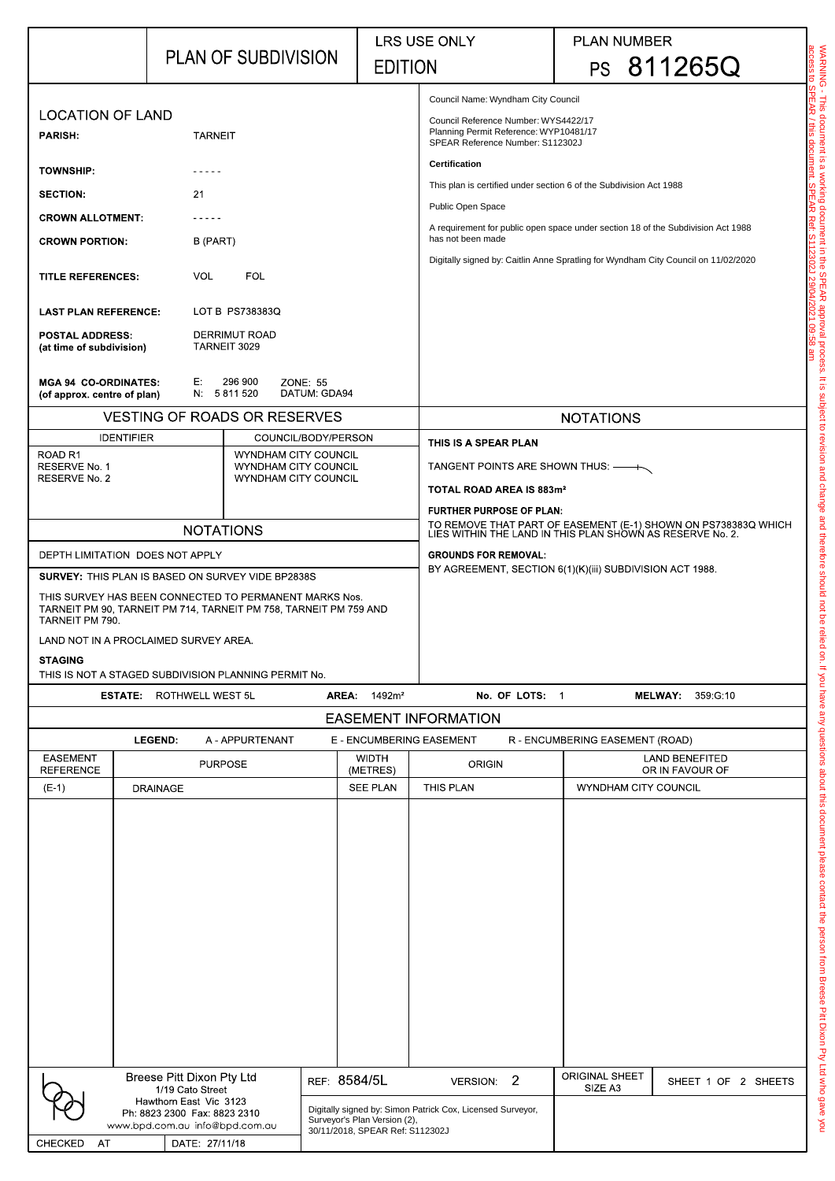|                                                                                              | <b>PLAN OF SUBDIVISION</b>                                                                                                                                                                                                                                                               |                        | LRS USE ONLY<br><b>EDITION</b>                                  |                                                                                                                                                                                                                                                                                                                                                               |                                  | <b>PLAN NUMBER</b><br>PS 811265Q |  |  |  |
|----------------------------------------------------------------------------------------------|------------------------------------------------------------------------------------------------------------------------------------------------------------------------------------------------------------------------------------------------------------------------------------------|------------------------|-----------------------------------------------------------------|---------------------------------------------------------------------------------------------------------------------------------------------------------------------------------------------------------------------------------------------------------------------------------------------------------------------------------------------------------------|----------------------------------|----------------------------------|--|--|--|
|                                                                                              |                                                                                                                                                                                                                                                                                          |                        |                                                                 |                                                                                                                                                                                                                                                                                                                                                               |                                  |                                  |  |  |  |
| <b>LOCATION OF LAND</b>                                                                      |                                                                                                                                                                                                                                                                                          |                        |                                                                 | Council Name: Wyndham City Council<br>Council Reference Number: WYS4422/17<br>Planning Permit Reference: WYP10481/17                                                                                                                                                                                                                                          |                                  |                                  |  |  |  |
| <b>PARISH:</b>                                                                               | <b>TARNEIT</b>                                                                                                                                                                                                                                                                           |                        |                                                                 | SPEAR Reference Number: S112302J                                                                                                                                                                                                                                                                                                                              |                                  |                                  |  |  |  |
| <b>TOWNSHIP:</b>                                                                             |                                                                                                                                                                                                                                                                                          |                        |                                                                 | <b>Certification</b>                                                                                                                                                                                                                                                                                                                                          |                                  |                                  |  |  |  |
| <b>SECTION:</b>                                                                              | 21                                                                                                                                                                                                                                                                                       |                        |                                                                 | This plan is certified under section 6 of the Subdivision Act 1988<br>Public Open Space                                                                                                                                                                                                                                                                       |                                  |                                  |  |  |  |
| <b>CROWN ALLOTMENT:</b>                                                                      |                                                                                                                                                                                                                                                                                          |                        |                                                                 | WARNING - This document is a working document in the SPEAR approval process. It is<br>access to SPEAR / this document. SPEAR Ref: S112302J 29/04/2021 09:58 am<br>A requirement for public open space under section 18 of the Subdivision Act 1988<br>has not been made<br>Digitally signed by: Caitlin Anne Spratling for Wyndham City Council on 11/02/2020 |                                  |                                  |  |  |  |
| <b>CROWN PORTION:</b>                                                                        | B (PART)                                                                                                                                                                                                                                                                                 |                        |                                                                 |                                                                                                                                                                                                                                                                                                                                                               |                                  |                                  |  |  |  |
| <b>TITLE REFERENCES:</b>                                                                     | <b>FOL</b><br><b>VOL</b>                                                                                                                                                                                                                                                                 |                        |                                                                 |                                                                                                                                                                                                                                                                                                                                                               |                                  |                                  |  |  |  |
| <b>LAST PLAN REFERENCE:</b>                                                                  | LOT B PS738383Q                                                                                                                                                                                                                                                                          |                        |                                                                 |                                                                                                                                                                                                                                                                                                                                                               |                                  |                                  |  |  |  |
| <b>POSTAL ADDRESS:</b><br>(at time of subdivision)                                           | <b>DERRIMUT ROAD</b><br>TARNEIT 3029                                                                                                                                                                                                                                                     |                        |                                                                 |                                                                                                                                                                                                                                                                                                                                                               |                                  |                                  |  |  |  |
| <b>MGA 94 CO-ORDINATES:</b><br>(of approx. centre of plan)                                   | 296 900<br>E:<br>N 5811520                                                                                                                                                                                                                                                               | ZONE 55<br>DATUM GDA94 |                                                                 |                                                                                                                                                                                                                                                                                                                                                               |                                  |                                  |  |  |  |
|                                                                                              | <b>VESTING OF ROADS OR RESERVES</b>                                                                                                                                                                                                                                                      |                        | <b>NOTATIONS</b>                                                |                                                                                                                                                                                                                                                                                                                                                               |                                  |                                  |  |  |  |
| <b>IDENTIFIER</b><br>ROAD <sub>R1</sub>                                                      | <b>WYNDHAM CITY COUNCIL</b>                                                                                                                                                                                                                                                              | COUNCIL/BODY/PERSON    | THIS IS A SPEAR PLAN                                            |                                                                                                                                                                                                                                                                                                                                                               |                                  |                                  |  |  |  |
| RESERVE No. 1<br>WYNDHAM CITY COUNCIL<br><b>RESERVE No. 2</b><br><b>WYNDHAM CITY COUNCIL</b> |                                                                                                                                                                                                                                                                                          |                        |                                                                 | TANGENT POINTS ARE SHOWN THUS: — +                                                                                                                                                                                                                                                                                                                            |                                  |                                  |  |  |  |
|                                                                                              |                                                                                                                                                                                                                                                                                          |                        |                                                                 | TOTAL ROAD AREA IS 883m <sup>2</sup><br><b>FURTHER PURPOSE OF PLAN:</b>                                                                                                                                                                                                                                                                                       |                                  |                                  |  |  |  |
| <b>NOTATIONS</b>                                                                             |                                                                                                                                                                                                                                                                                          |                        |                                                                 | TO REMOVE THAT PART OF EASEMENT (E-1) SHOWN ON PS738383Q WHICH<br>LIES WITHIN THE LAND IN THIS PLAN SHOWN AS RESERVE No. 2.                                                                                                                                                                                                                                   |                                  |                                  |  |  |  |
| DEPTH LIMITATION DOES NOT APPLY                                                              |                                                                                                                                                                                                                                                                                          |                        |                                                                 | <b>GROUNDS FOR REMOVAL:</b><br>BY AGREEMENT, SECTION 6(1)(K)(iii) SUBDIVISION ACT 1988.                                                                                                                                                                                                                                                                       |                                  |                                  |  |  |  |
| TARNEIT PM 790.<br><b>STAGING</b>                                                            | <b>SURVEY: THIS PLAN IS BASED ON SURVEY VIDE BP2838S</b><br>THIS SURVEY HAS BEEN CONNECTED TO PERMANENT MARKS Nos.<br>TARNEIT PM 90, TARNEIT PM 714, TARNEIT PM 758, TARNEIT PM 759 AND<br>LAND NOT IN A PROCLAIMED SURVEY AREA.<br>THIS IS NOT A STAGED SUBDIVISION PLANNING PERMIT No. |                        |                                                                 |                                                                                                                                                                                                                                                                                                                                                               |                                  |                                  |  |  |  |
| <b>ESTATE:</b>                                                                               | ROTHWELL WEST 5L                                                                                                                                                                                                                                                                         | AREA:                  | 1492m <sup>2</sup>                                              | No. OF LOTS: 1                                                                                                                                                                                                                                                                                                                                                |                                  | <b>MELWAY</b><br>359 G 10        |  |  |  |
|                                                                                              |                                                                                                                                                                                                                                                                                          |                        |                                                                 | <b>EASEMENT INFORMATION</b>                                                                                                                                                                                                                                                                                                                                   |                                  |                                  |  |  |  |
| <b>EASEMENT</b>                                                                              | <b>LEGEND:</b><br>A - APPURTENANT                                                                                                                                                                                                                                                        |                        | <b>WIDTH</b>                                                    | E - ENCUMBERING EASEMENT                                                                                                                                                                                                                                                                                                                                      | R - ENCUMBERING EASEMENT (ROAD)  | <b>LAND BENEFITED</b>            |  |  |  |
| <b>REFERENCE</b>                                                                             | <b>PURPOSE</b>                                                                                                                                                                                                                                                                           |                        | (METRES)                                                        | <b>ORIGIN</b>                                                                                                                                                                                                                                                                                                                                                 |                                  | OR IN FAVOUR OF                  |  |  |  |
| $(E-1)$                                                                                      | <b>DRAINAGE</b>                                                                                                                                                                                                                                                                          |                        | <b>SEE PLAN</b>                                                 | THIS PLAN                                                                                                                                                                                                                                                                                                                                                     | <b>WYNDHAM CITY COUNCIL</b>      |                                  |  |  |  |
|                                                                                              | <b>Breese Pitt Dixon Pty Ltd</b><br>1/19 Cato Street<br>Hawthorn East Vic 3123<br>Ph: 8823 2300 Fax: 8823 2310<br>www.bpd.com.au info@bpd.com.au                                                                                                                                         | REF 8584/5L            | Surveyor's Plan Version (2),<br>30/11/2018, SPEAR Ref: S112302J | $\overline{2}$<br><b>VERSION:</b><br>Digitally signed by: Simon Patrick Cox, Licensed Surveyor,                                                                                                                                                                                                                                                               | <b>ORIGINAL SHEET</b><br>SIZE A3 | SHEET 1 OF<br>2 SHEETS           |  |  |  |

| Breese Pitt Dixon Pty Ltd<br>1/19 Cato Street                                            |  |                | REF: 8584/5L                                                                                                                  | VERSION: 2 |  | <b>ORIGINAL SHEET</b><br>SIZE A3 | SHEET 1 OF<br>2 SHEETS |  |
|------------------------------------------------------------------------------------------|--|----------------|-------------------------------------------------------------------------------------------------------------------------------|------------|--|----------------------------------|------------------------|--|
| Hawthorn East Vic 3123<br>Ph: 8823 2300 Fax: 8823 2310<br>www.bpd.com.au info@bpd.com.au |  |                | Digitally signed by: Simon Patrick Cox, Licensed Surveyor,<br>Surveyor's Plan Version (2),<br>30/11/2018, SPEAR Ref: S112302J |            |  |                                  |                        |  |
| <b>CHECKED</b><br>AT                                                                     |  | DATE: 27/11/18 |                                                                                                                               |            |  |                                  |                        |  |